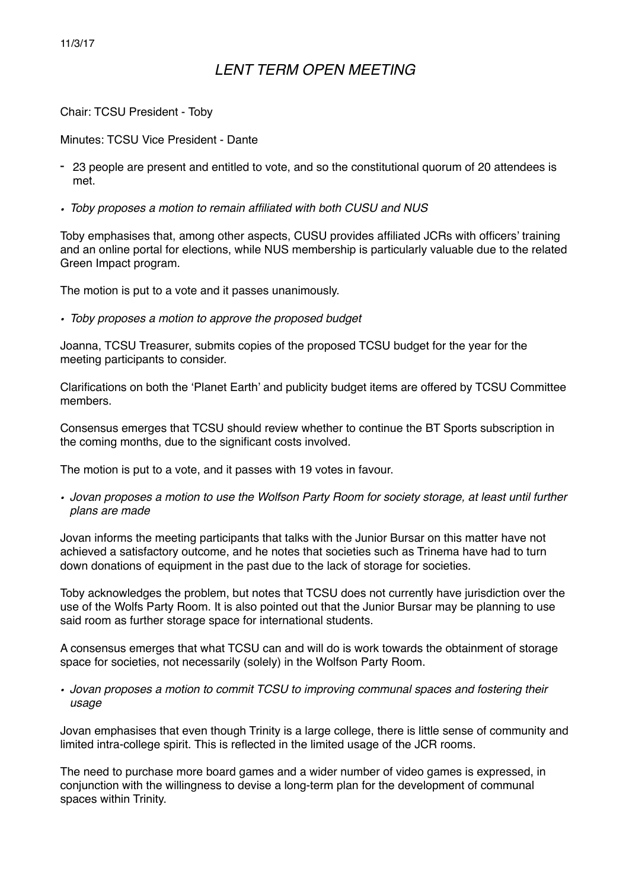#### 11/3/17

# *LENT TERM OPEN MEETING*

Chair: TCSU President - Toby

Minutes: TCSU Vice President - Dante

- 23 people are present and entitled to vote, and so the constitutional quorum of 20 attendees is met.
- *• Toby proposes a motion to remain affiliated with both CUSU and NUS*

Toby emphasises that, among other aspects, CUSU provides affiliated JCRs with officers' training and an online portal for elections, while NUS membership is particularly valuable due to the related Green Impact program.

The motion is put to a vote and it passes unanimously.

*• Toby proposes a motion to approve the proposed budget* 

Joanna, TCSU Treasurer, submits copies of the proposed TCSU budget for the year for the meeting participants to consider.

Clarifications on both the 'Planet Earth' and publicity budget items are offered by TCSU Committee members.

Consensus emerges that TCSU should review whether to continue the BT Sports subscription in the coming months, due to the significant costs involved.

The motion is put to a vote, and it passes with 19 votes in favour.

*• Jovan proposes a motion to use the Wolfson Party Room for society storage, at least until further plans are made* 

Jovan informs the meeting participants that talks with the Junior Bursar on this matter have not achieved a satisfactory outcome, and he notes that societies such as Trinema have had to turn down donations of equipment in the past due to the lack of storage for societies.

Toby acknowledges the problem, but notes that TCSU does not currently have jurisdiction over the use of the Wolfs Party Room. It is also pointed out that the Junior Bursar may be planning to use said room as further storage space for international students.

A consensus emerges that what TCSU can and will do is work towards the obtainment of storage space for societies, not necessarily (solely) in the Wolfson Party Room.

*• Jovan proposes a motion to commit TCSU to improving communal spaces and fostering their usage*

Jovan emphasises that even though Trinity is a large college, there is little sense of community and limited intra-college spirit. This is reflected in the limited usage of the JCR rooms.

The need to purchase more board games and a wider number of video games is expressed, in conjunction with the willingness to devise a long-term plan for the development of communal spaces within Trinity.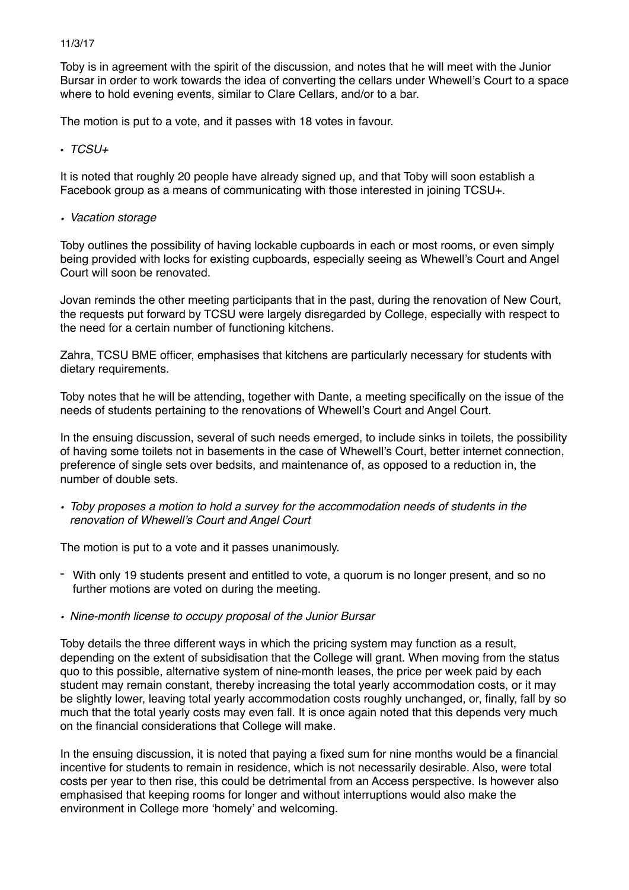#### 11/3/17

Toby is in agreement with the spirit of the discussion, and notes that he will meet with the Junior Bursar in order to work towards the idea of converting the cellars under Whewell's Court to a space where to hold evening events, similar to Clare Cellars, and/or to a bar.

The motion is put to a vote, and it passes with 18 votes in favour.

• *TCSU+* 

It is noted that roughly 20 people have already signed up, and that Toby will soon establish a Facebook group as a means of communicating with those interested in joining TCSU+.

*• Vacation storage*

Toby outlines the possibility of having lockable cupboards in each or most rooms, or even simply being provided with locks for existing cupboards, especially seeing as Whewell's Court and Angel Court will soon be renovated.

Jovan reminds the other meeting participants that in the past, during the renovation of New Court, the requests put forward by TCSU were largely disregarded by College, especially with respect to the need for a certain number of functioning kitchens.

Zahra, TCSU BME officer, emphasises that kitchens are particularly necessary for students with dietary requirements.

Toby notes that he will be attending, together with Dante, a meeting specifically on the issue of the needs of students pertaining to the renovations of Whewell's Court and Angel Court.

In the ensuing discussion, several of such needs emerged, to include sinks in toilets, the possibility of having some toilets not in basements in the case of Whewell's Court, better internet connection, preference of single sets over bedsits, and maintenance of, as opposed to a reduction in, the number of double sets.

*• Toby proposes a motion to hold a survey for the accommodation needs of students in the renovation of Whewell's Court and Angel Court*

The motion is put to a vote and it passes unanimously.

- With only 19 students present and entitled to vote, a quorum is no longer present, and so no further motions are voted on during the meeting.
- *• Nine-month license to occupy proposal of the Junior Bursar*

Toby details the three different ways in which the pricing system may function as a result, depending on the extent of subsidisation that the College will grant. When moving from the status quo to this possible, alternative system of nine-month leases, the price per week paid by each student may remain constant, thereby increasing the total yearly accommodation costs, or it may be slightly lower, leaving total yearly accommodation costs roughly unchanged, or, finally, fall by so much that the total yearly costs may even fall. It is once again noted that this depends very much on the financial considerations that College will make.

In the ensuing discussion, it is noted that paying a fixed sum for nine months would be a financial incentive for students to remain in residence, which is not necessarily desirable. Also, were total costs per year to then rise, this could be detrimental from an Access perspective. Is however also emphasised that keeping rooms for longer and without interruptions would also make the environment in College more 'homely' and welcoming.